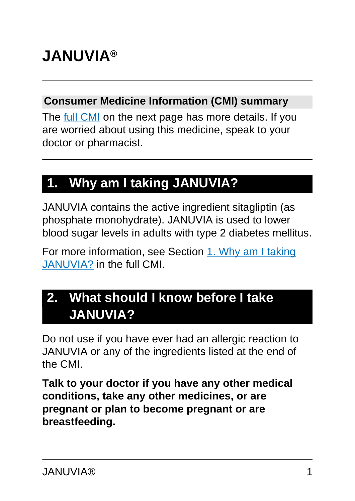# **JANUVIA®**

#### **Consumer Medicine Information (CMI) summary**

The [full CMI](#page-4-0) on the next page has more details. If you are worried about using this medicine, speak to your doctor or pharmacist.

# **1. Why am I taking JANUVIA?**

JANUVIA contains the active ingredient sitagliptin (as phosphate monohydrate). JANUVIA is used to lower blood sugar levels in adults with type 2 diabetes mellitus.

For more information, see Section [1. Why am I taking](#page-4-1) [JANUVIA?](#page-4-1) in the full CMI.

# **2. What should I know before I take JANUVIA?**

Do not use if you have ever had an allergic reaction to JANUVIA or any of the ingredients listed at the end of the CMI.

**Talk to your doctor if you have any other medical conditions, take any other medicines, or are pregnant or plan to become pregnant or are breastfeeding.**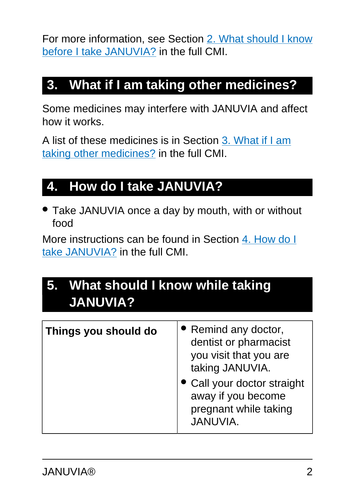For more information, see Section [2. What should I know](#page-5-0) [before I take JANUVIA?](#page-5-0) in the full CMI.

## **3. What if I am taking other medicines?**

Some medicines may interfere with JANUVIA and affect how it works.

A list of these medicines is in Section [3. What if I am](#page-6-0) [taking other medicines?](#page-6-0) in the full CMI.

# **4. How do I take JANUVIA?**

• Take JANUVIA once a day by mouth, with or without food

More instructions can be found in Section [4. How do I](#page-7-0) [take JANUVIA?](#page-7-0) in the full CMI.

# **5. What should I know while taking JANUVIA?**

| Things you should do | • Remind any doctor,<br>dentist or pharmacist<br>you visit that you are<br>taking JANUVIA.<br>• Call your doctor straight<br>away if you become<br>pregnant while taking<br><b>JANUVIA.</b> |
|----------------------|---------------------------------------------------------------------------------------------------------------------------------------------------------------------------------------------|
|----------------------|---------------------------------------------------------------------------------------------------------------------------------------------------------------------------------------------|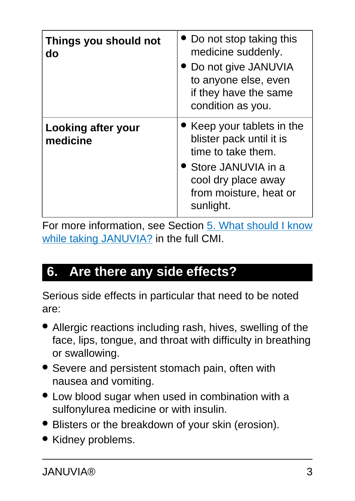| Things you should not<br>do    | • Do not stop taking this<br>medicine suddenly.<br>Do not give JANUVIA<br>to anyone else, even<br>if they have the same<br>condition as you.                       |
|--------------------------------|--------------------------------------------------------------------------------------------------------------------------------------------------------------------|
| Looking after your<br>medicine | • Keep your tablets in the<br>blister pack until it is<br>time to take them.<br>• Store JANUVIA in a<br>cool dry place away<br>from moisture, heat or<br>sunlight. |

For more information, see Section [5. What should I know](#page-8-0) [while taking JANUVIA?](#page-8-0) in the full CMI.

### **6. Are there any side effects?**

Serious side effects in particular that need to be noted are:

- Allergic reactions including rash, hives, swelling of the face, lips, tongue, and throat with difficulty in breathing or swallowing.
- Severe and persistent stomach pain, often with nausea and vomiting.
- Low blood sugar when used in combination with a sulfonylurea medicine or with insulin.
- Blisters or the breakdown of your skin (erosion).
- Kidney problems.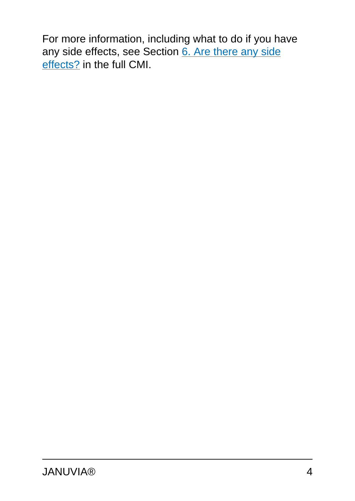For more information, including what to do if you have any side effects, see Section [6. Are there any side](#page-10-0) [effects?](#page-10-0) in the full CMI.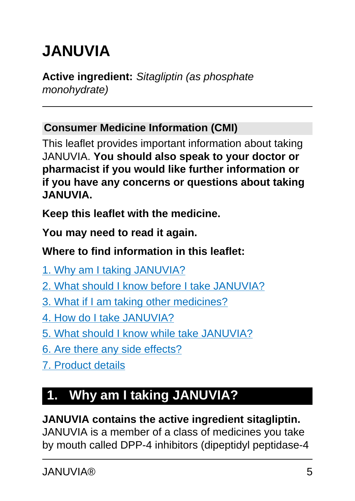# <span id="page-4-0"></span>**JANUVIA**

**Active ingredient:** Sitagliptin (as phosphate monohydrate)

#### **Consumer Medicine Information (CMI)**

This leaflet provides important information about taking JANUVIA. **You should also speak to your doctor or pharmacist if you would like further information or if you have any concerns or questions about taking JANUVIA.**

**Keep this leaflet with the medicine.**

**You may need to read it again.**

#### **Where to find information in this leaflet:**

- [1. Why am I taking JANUVIA?](#page-4-1)
- [2. What should I know before I take JANUVIA?](#page-5-0)
- [3. What if I am taking other medicines?](#page-6-0)
- [4. How do I take JANUVIA?](#page-7-0)
- [5. What should I know while take JANUVIA?](#page-8-0)
- [6. Are there any side effects?](#page-10-0)
- [7. Product details](#page-12-0)

# <span id="page-4-1"></span>**1. Why am I taking JANUVIA?**

#### **JANUVIA contains the active ingredient sitagliptin.**

JANUVIA is a member of a class of medicines you take by mouth called DPP-4 inhibitors (dipeptidyl peptidase-4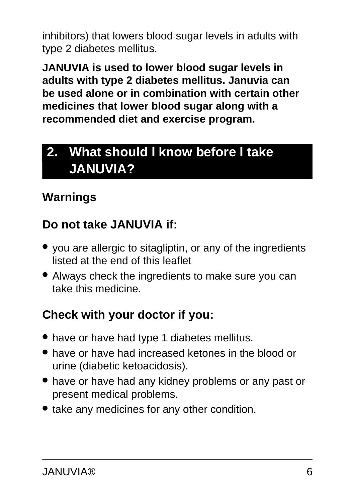inhibitors) that lowers blood sugar levels in adults with type 2 diabetes mellitus.

**JANUVIA is used to lower blood sugar levels in adults with type 2 diabetes mellitus. Januvia can be used alone or in combination with certain other medicines that lower blood sugar along with a recommended diet and exercise program.**

# <span id="page-5-0"></span>**2. What should I know before I take JANUVIA?**

### **Warnings**

### **Do not take JANUVIA if:**

- you are allergic to sitagliptin, or any of the ingredients listed at the end of this leaflet
- Always check the ingredients to make sure you can take this medicine.

### **Check with your doctor if you:**

- have or have had type 1 diabetes mellitus.
- have or have had increased ketones in the blood or urine (diabetic ketoacidosis).
- have or have had any kidney problems or any past or present medical problems.
- take any medicines for any other condition.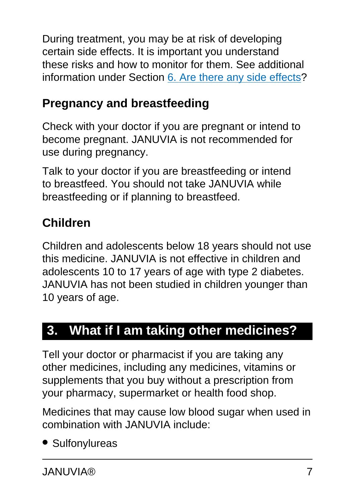During treatment, you may be at risk of developing certain side effects. It is important you understand these risks and how to monitor for them. See additional information under Section [6. Are there any side effects](#page-10-0)?

# **Pregnancy and breastfeeding**

Check with your doctor if you are pregnant or intend to become pregnant. JANUVIA is not recommended for use during pregnancy.

Talk to your doctor if you are breastfeeding or intend to breastfeed. You should not take JANUVIA while breastfeeding or if planning to breastfeed.

# **Children**

Children and adolescents below 18 years should not use this medicine. JANUVIA is not effective in children and adolescents 10 to 17 years of age with type 2 diabetes. JANUVIA has not been studied in children younger than 10 years of age.

# <span id="page-6-0"></span>**3. What if I am taking other medicines?**

Tell your doctor or pharmacist if you are taking any other medicines, including any medicines, vitamins or supplements that you buy without a prescription from your pharmacy, supermarket or health food shop.

Medicines that may cause low blood sugar when used in combination with JANUVIA include:

● Sulfonylureas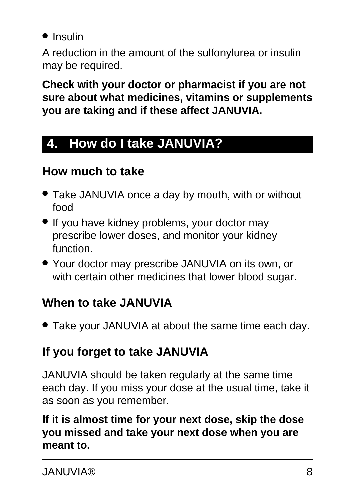● Insulin

A reduction in the amount of the sulfonylurea or insulin may be required.

**Check with your doctor or pharmacist if you are not sure about what medicines, vitamins or supplements you are taking and if these affect JANUVIA.**

# <span id="page-7-0"></span>**4. How do I take JANUVIA?**

### **How much to take**

- Take JANUVIA once a day by mouth, with or without food
- If you have kidney problems, your doctor may prescribe lower doses, and monitor your kidney function.
- Your doctor may prescribe JANUVIA on its own, or with certain other medicines that lower blood sugar.

# **When to take JANUVIA**

• Take your JANUVIA at about the same time each day.

# **If you forget to take JANUVIA**

JANUVIA should be taken regularly at the same time each day. If you miss your dose at the usual time, take it as soon as you remember.

#### **If it is almost time for your next dose, skip the dose you missed and take your next dose when you are meant to.**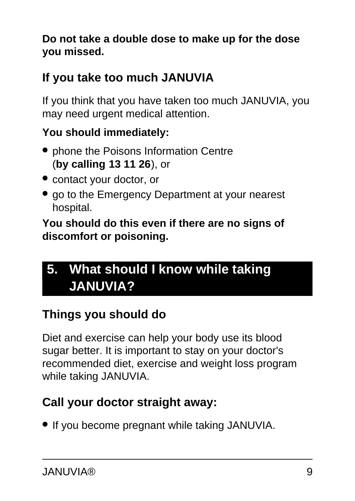#### **Do not take a double dose to make up for the dose you missed.**

### **If you take too much JANUVIA**

If you think that you have taken too much JANUVIA, you may need urgent medical attention.

#### **You should immediately:**

- phone the Poisons Information Centre (**by calling 13 11 26**), or
- contact your doctor, or
- go to the Emergency Department at your nearest hospital.

**You should do this even if there are no signs of discomfort or poisoning.**

# <span id="page-8-0"></span>**5. What should I know while taking JANUVIA?**

### **Things you should do**

Diet and exercise can help your body use its blood sugar better. It is important to stay on your doctor's recommended diet, exercise and weight loss program while taking JANUVIA.

### **Call your doctor straight away:**

• If you become pregnant while taking JANUVIA.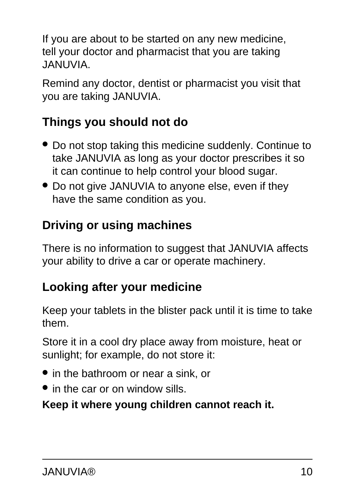If you are about to be started on any new medicine, tell your doctor and pharmacist that you are taking JANUVIA.

Remind any doctor, dentist or pharmacist you visit that you are taking JANUVIA.

### **Things you should not do**

- Do not stop taking this medicine suddenly. Continue to take JANUVIA as long as your doctor prescribes it so it can continue to help control your blood sugar.
- Do not give JANUVIA to anyone else, even if they have the same condition as you.

### **Driving or using machines**

There is no information to suggest that JANUVIA affects your ability to drive a car or operate machinery.

### **Looking after your medicine**

Keep your tablets in the blister pack until it is time to take them.

Store it in a cool dry place away from moisture, heat or sunlight; for example, do not store it:

- in the bathroom or near a sink, or
- in the car or on window sills.

#### **Keep it where young children cannot reach it.**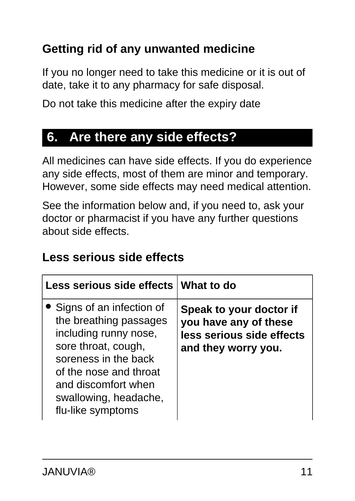### **Getting rid of any unwanted medicine**

If you no longer need to take this medicine or it is out of date, take it to any pharmacy for safe disposal.

Do not take this medicine after the expiry date

# <span id="page-10-0"></span>**6. Are there any side effects?**

All medicines can have side effects. If you do experience any side effects, most of them are minor and temporary. However, some side effects may need medical attention.

See the information below and, if you need to, ask your doctor or pharmacist if you have any further questions about side effects.

### **Less serious side effects**

| Less serious side effects   What to do                                                                                                                                                                                      |                                                                                                      |
|-----------------------------------------------------------------------------------------------------------------------------------------------------------------------------------------------------------------------------|------------------------------------------------------------------------------------------------------|
| • Signs of an infection of<br>the breathing passages<br>including runny nose,<br>sore throat, cough,<br>soreness in the back<br>of the nose and throat<br>and discomfort when<br>swallowing, headache,<br>flu-like symptoms | Speak to your doctor if<br>you have any of these<br>less serious side effects<br>and they worry you. |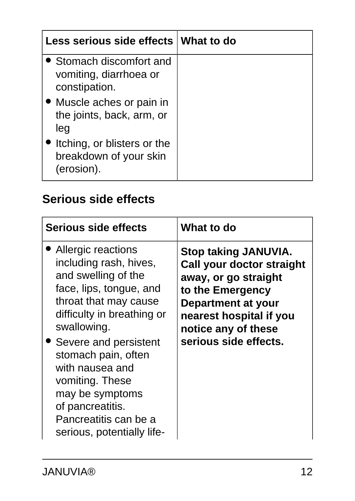| Less serious side effects What to do                                |  |
|---------------------------------------------------------------------|--|
| • Stomach discomfort and<br>vomiting, diarrhoea or<br>constipation. |  |
| • Muscle aches or pain in<br>the joints, back, arm, or<br>leg       |  |
| Itching, or blisters or the<br>breakdown of your skin<br>(erosion). |  |

### **Serious side effects**

| <b>Serious side effects</b>                                                                                                                                                                                                                                                                                                                                | What to do                                                                                                                                                                                                          |
|------------------------------------------------------------------------------------------------------------------------------------------------------------------------------------------------------------------------------------------------------------------------------------------------------------------------------------------------------------|---------------------------------------------------------------------------------------------------------------------------------------------------------------------------------------------------------------------|
| Allergic reactions<br>including rash, hives,<br>and swelling of the<br>face, lips, tongue, and<br>throat that may cause<br>difficulty in breathing or<br>swallowing.<br>• Severe and persistent<br>stomach pain, often<br>with nausea and<br>vomiting. These<br>may be symptoms<br>of pancreatitis.<br>Pancreatitis can be a<br>serious, potentially life- | <b>Stop taking JANUVIA.</b><br><b>Call your doctor straight</b><br>away, or go straight<br>to the Emergency<br><b>Department at your</b><br>nearest hospital if you<br>notice any of these<br>serious side effects. |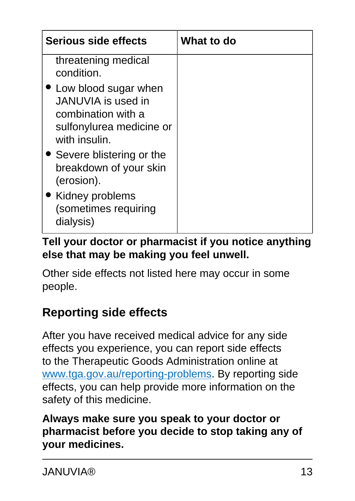| Serious side effects                                                                                            | What to do |
|-----------------------------------------------------------------------------------------------------------------|------------|
| threatening medical<br>condition.                                                                               |            |
| • Low blood sugar when<br>JANUVIA is used in<br>combination with a<br>sulfonylurea medicine or<br>with insulin. |            |
| • Severe blistering or the<br>breakdown of your skin<br>(erosion).                                              |            |
| • Kidney problems<br>(sometimes requiring<br>dialysis)                                                          |            |

#### **Tell your doctor or pharmacist if you notice anything else that may be making you feel unwell.**

Other side effects not listed here may occur in some people.

### **Reporting side effects**

After you have received medical advice for any side effects you experience, you can report side effects to the Therapeutic Goods Administration online at [www.tga.gov.au/reporting-problems.](http://www.tga.gov.au/reporting-problems) By reporting side effects, you can help provide more information on the safety of this medicine.

#### <span id="page-12-0"></span>**Always make sure you speak to your doctor or pharmacist before you decide to stop taking any of your medicines.**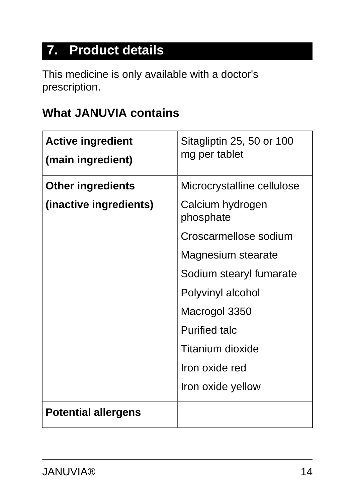# **7. Product details**

This medicine is only available with a doctor's prescription.

#### **What JANUVIA contains**

| <b>Active ingredient</b><br>(main ingredient) | Sitagliptin 25, 50 or 100<br>mg per tablet |
|-----------------------------------------------|--------------------------------------------|
| <b>Other ingredients</b>                      | Microcrystalline cellulose                 |
| (inactive ingredients)                        | Calcium hydrogen<br>phosphate              |
|                                               | Croscarmellose sodium                      |
|                                               | Magnesium stearate                         |
|                                               | Sodium stearyl fumarate                    |
|                                               | Polyvinyl alcohol                          |
|                                               | Macrogol 3350                              |
|                                               | <b>Purified talc</b>                       |
|                                               | Titanium dioxide                           |
|                                               | Iron oxide red                             |
|                                               | Iron oxide yellow                          |
| <b>Potential allergens</b>                    |                                            |